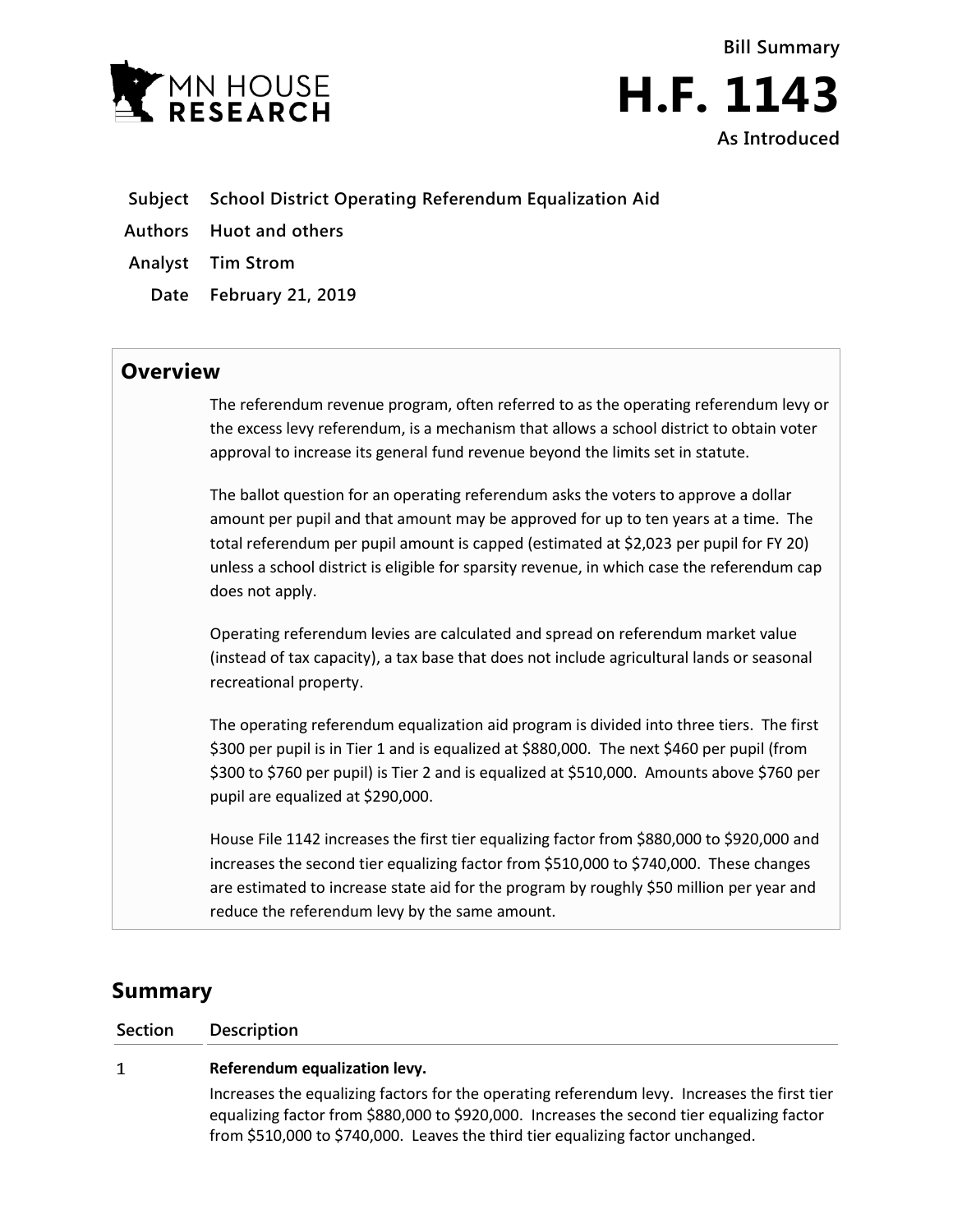



- **Subject School District Operating Referendum Equalization Aid**
- **Authors Huot and others**
- **Analyst Tim Strom**
	- **Date February 21, 2019**

## **Overview**

The referendum revenue program, often referred to as the operating referendum levy or the excess levy referendum, is a mechanism that allows a school district to obtain voter approval to increase its general fund revenue beyond the limits set in statute.

The ballot question for an operating referendum asks the voters to approve a dollar amount per pupil and that amount may be approved for up to ten years at a time. The total referendum per pupil amount is capped (estimated at \$2,023 per pupil for FY 20) unless a school district is eligible for sparsity revenue, in which case the referendum cap does not apply.

Operating referendum levies are calculated and spread on referendum market value (instead of tax capacity), a tax base that does not include agricultural lands or seasonal recreational property.

The operating referendum equalization aid program is divided into three tiers. The first \$300 per pupil is in Tier 1 and is equalized at \$880,000. The next \$460 per pupil (from \$300 to \$760 per pupil) is Tier 2 and is equalized at \$510,000. Amounts above \$760 per pupil are equalized at \$290,000.

House File 1142 increases the first tier equalizing factor from \$880,000 to \$920,000 and increases the second tier equalizing factor from \$510,000 to \$740,000. These changes are estimated to increase state aid for the program by roughly \$50 million per year and reduce the referendum levy by the same amount.

# **Summary**

### **Section Description**

#### $\mathbf{1}$ **Referendum equalization levy.**

Increases the equalizing factors for the operating referendum levy. Increases the first tier equalizing factor from \$880,000 to \$920,000. Increases the second tier equalizing factor from \$510,000 to \$740,000. Leaves the third tier equalizing factor unchanged.